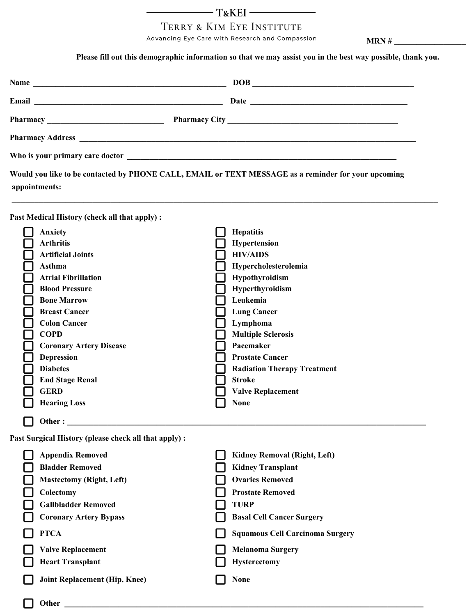## 

## TERRY & KIM EYE INSTITUTE

Advancing Eye Care with Research and Compassion **MRN** #

 **Please fill out this demographic information so that we may assist you in the best way possible, thank you.** 

|  |  | $\boxed{DOB}$                                                                                       |
|--|--|-----------------------------------------------------------------------------------------------------|
|  |  |                                                                                                     |
|  |  |                                                                                                     |
|  |  |                                                                                                     |
|  |  |                                                                                                     |
|  |  | Would you like to be contacted by PHONE CALL, EMAIL or TEXT MESSAGE as a reminder for your upcoming |

 **\_\_\_\_\_\_\_\_\_\_\_\_\_\_\_\_\_\_\_\_\_\_\_\_\_\_\_\_\_\_\_\_\_\_\_\_\_\_\_\_\_\_\_\_\_\_\_\_\_\_\_\_\_\_\_\_\_\_\_\_\_\_\_\_\_\_\_\_\_\_\_\_\_\_\_\_\_\_\_\_\_\_\_\_\_\_\_\_\_\_\_\_\_\_\_**

 **appointments:**

**Past Medical History (check all that apply) :**

| Anxiety                        | <b>Hepatitis</b>                   |
|--------------------------------|------------------------------------|
| <b>Arthritis</b>               | <b>Hypertension</b>                |
| <b>Artificial Joints</b>       | <b>HIV/AIDS</b>                    |
| Asthma                         | Hypercholesterolemia               |
| <b>Atrial Fibrillation</b>     | <b>Hypothyroidism</b>              |
| <b>Blood Pressure</b>          | Hyperthyroidism                    |
| <b>Bone Marrow</b>             | Leukemia                           |
| <b>Breast Cancer</b>           | <b>Lung Cancer</b>                 |
| <b>Colon Cancer</b>            | Lymphoma                           |
| <b>COPD</b>                    | <b>Multiple Sclerosis</b>          |
| <b>Coronary Artery Disease</b> | Pacemaker                          |
| <b>Depression</b>              | <b>Prostate Cancer</b>             |
| <b>Diabetes</b>                | <b>Radiation Therapy Treatment</b> |
| <b>End Stage Renal</b>         | <b>Stroke</b>                      |
| <b>GERD</b>                    | <b>Valve Replacement</b>           |
| <b>Hearing Loss</b>            | <b>None</b>                        |
| Other:                         |                                    |

**Past Surgical History (please check all that apply) :**

| <b>Appendix Removed</b>              | <b>Kidney Removal (Right, Left)</b>    |
|--------------------------------------|----------------------------------------|
| <b>Bladder Removed</b>               | <b>Kidney Transplant</b>               |
| <b>Mastectomy (Right, Left)</b>      | <b>Ovaries Removed</b>                 |
| Colectomy                            | <b>Prostate Removed</b>                |
| <b>Gallbladder Removed</b>           | <b>TURP</b>                            |
| <b>Coronary Artery Bypass</b>        | <b>Basal Cell Cancer Surgery</b>       |
| <b>PTCA</b>                          | <b>Squamous Cell Carcinoma Surgery</b> |
| <b>Valve Replacement</b>             | <b>Melanoma Surgery</b>                |
| <b>Heart Transplant</b>              | <b>Hysterectomy</b>                    |
| <b>Joint Replacement (Hip, Knee)</b> | <b>None</b>                            |
| Other                                |                                        |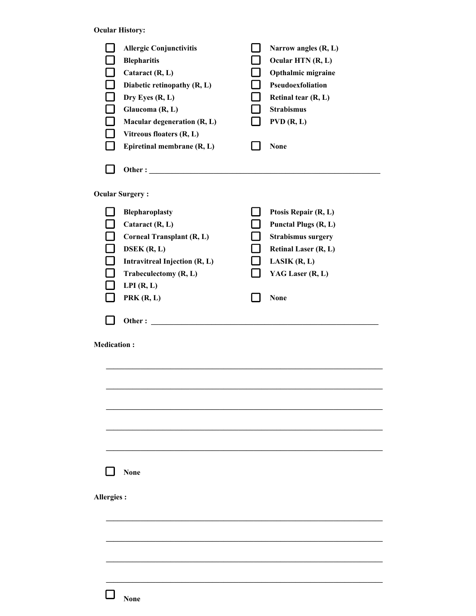**Ocular History:**

| $\Box$             | <b>Allergic Conjunctivitis</b><br><b>Blepharitis</b><br>Cataract (R, L)<br>Diabetic retinopathy (R, L)<br>Dry Eyes (R, L)<br>Glaucoma (R, L)<br><b>Macular degeneration (R, L)</b><br>Vitreous floaters (R, L)<br>Epiretinal membrane (R, L) | $\sim$ | Narrow angles (R, L)<br>Ocular HTN (R, L)<br>Opthalmic migraine<br>Pseudoexfoliation<br>Retinal tear (R, L)<br><b>Strabismus</b><br>PVD(R, L)<br><b>None</b>                |
|--------------------|----------------------------------------------------------------------------------------------------------------------------------------------------------------------------------------------------------------------------------------------|--------|-----------------------------------------------------------------------------------------------------------------------------------------------------------------------------|
|                    |                                                                                                                                                                                                                                              |        |                                                                                                                                                                             |
|                    | <b>Ocular Surgery:</b>                                                                                                                                                                                                                       |        |                                                                                                                                                                             |
| $\Box$             | Blepharoplasty<br>Cataract (R, L)<br><b>Corneal Transplant (R, L)</b><br>DSEK(R, L)<br>Intravitreal Injection (R, L)<br>Trabeculectomy (R, L)<br>LPI(R, L)<br>PRK(R, L)                                                                      |        | Ptosis Repair (R, L)<br><b>Punctal Plugs (R, L)</b><br><b>Strabismus surgery</b><br><b>Retinal Laser (R, L)</b><br><b>LASIK</b> $(R, L)$<br>YAG Laser (R, L)<br><b>None</b> |
|                    | Other:                                                                                                                                                                                                                                       |        |                                                                                                                                                                             |
| <b>Medication:</b> |                                                                                                                                                                                                                                              |        |                                                                                                                                                                             |
|                    | <b>None</b>                                                                                                                                                                                                                                  |        |                                                                                                                                                                             |
| <b>Allergies:</b>  |                                                                                                                                                                                                                                              |        |                                                                                                                                                                             |
|                    | <b>None</b>                                                                                                                                                                                                                                  |        |                                                                                                                                                                             |